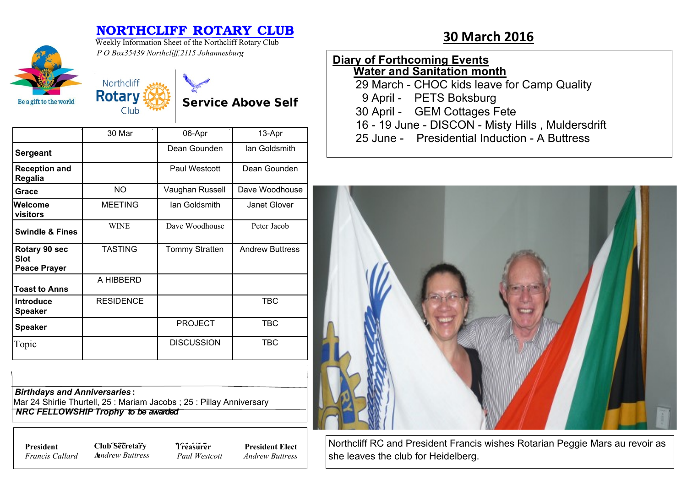## **NORTHCLIFF ROTARY CLUB**<br>Westly Information Sheet of the Northeliff Return Club. 30 March 2016

**Service Above Self** 



Weekly Information Sheet of the Northcliff Rotary Club *P O Box35439 Northcliff,2115 Johannesburg*

Northcliff **Rotary** 

Club

### **Diary of Forthcoming Events Water and Sanitation month**

29 March - CHOC kids leave for Camp Quality

- 9 April PETS Boksburg
- 30 April GEM Cottages Fete

16 - 19 June - DISCON - Misty Hills , Muldersdrift

25 June - Presidential Induction - A Buttress



Northcliff RC and President Francis wishes Rotarian Peggie Mars au revoir as she leaves the club for Heidelberg.

|                                              | 30 Mar           | 06-Apr                | 13-Apr                 |
|----------------------------------------------|------------------|-----------------------|------------------------|
| <b>Sergeant</b>                              |                  | Dean Gounden          | lan Goldsmith          |
| <b>Reception and</b><br>Regalia              |                  | Paul Westcott         | Dean Gounden           |
| Grace                                        | NO.              | Vaughan Russell       | Dave Woodhouse         |
| Welcome<br>visitors                          | <b>MEETING</b>   | lan Goldsmith         | Janet Glover           |
| <b>Swindle &amp; Fines</b>                   | <b>WINE</b>      | Dave Woodhouse        | Peter Jacob            |
| Rotary 90 sec<br>Slot<br><b>Peace Prayer</b> | <b>TASTING</b>   | <b>Tommy Stratten</b> | <b>Andrew Buttress</b> |
| <b>Toast to Anns</b>                         | A HIBBERD        |                       |                        |
| Introduce<br><b>Speaker</b>                  | <b>RESIDENCE</b> |                       | <b>TBC</b>             |
| <b>Speaker</b>                               |                  | <b>PROJECT</b>        | <b>TBC</b>             |
| Topic                                        |                  | <b>DISCUSSION</b>     | <b>TBC</b>             |

*Birthdays and Anniversaries* **:**

Mar 24 Shirlie Thurtell, 25 : Mariam Jacobs ; 25 : Pillay Anniversary  *NRC FELLOWSHIP Trophy to be awarded*

*Francis Callard*

**President Club Secretary 7** *Treasure* **A***nndrew Buttress* **Treasurer**

*Paul Westcott* **President Elect** *Andrew Buttress*